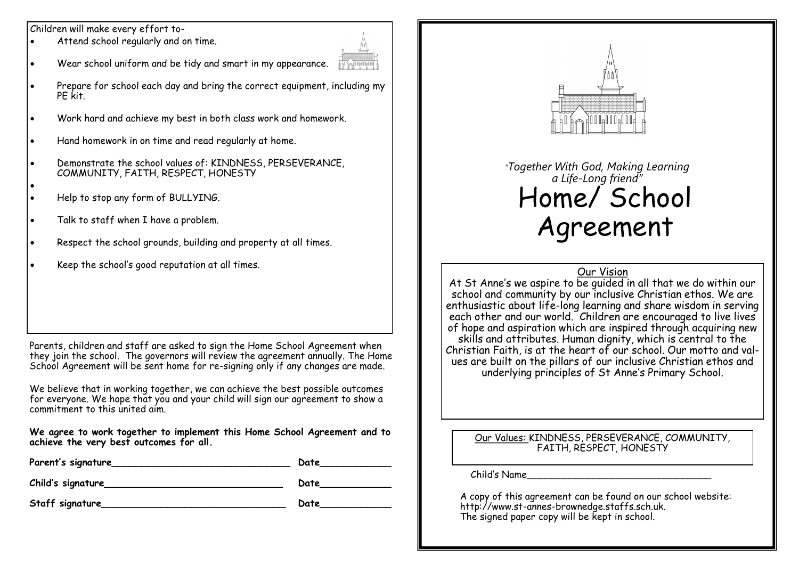Children will make every effort to-

- Attend school regularly and on time.
- Wear school uniform and be tidy and smart in my appearance.



- Prepare for school each day and bring the correct equipment, including my PE kit.
- Work hard and achieve my best in both class work and homework.
- Hand homework in on time and read regularly at home.
- Demonstrate the school values of: KINDNESS, PERSEVERANCE, COMMUNITY, FAITH, RESPECT, HONESTY
- Help to stop any form of BULLYING.

 $\bullet$ 

- Talk to staff when I have a problem.
- Respect the school grounds, building and property at all times.
- Keep the school's good reputation at all times.

Parents, children and staff are asked to sign the Home School Agreement when they join the school. The governors will review the agreement annually. The Home School Agreement will be sent home for re-signing only if any changes are made.

We believe that in working together, we can achieve the best possible outcomes for everyone. We hope that you and your child will sign our agreement to show a commitment to this united aim.

**We agree to work together to implement this Home School Agreement and to achieve the very best outcomes for all.**

| Parent's signature | Date |
|--------------------|------|
| Child's signature  | Date |
| Staff signature    | Date |



## *"Together With God, Making Learning a Life-Long friend"* Home/ School Agreement

### Our Vision

At St Anne's we aspire to be quided in all that we do within our school and community by our inclusive Christian ethos. We are enthusiastic about life-long learning and share wisdom in serving each other and our world. Children are encouraged to live lives of hope and aspiration which are inspired through acquiring new skills and attributes. Human dignity, which is central to the Christian Faith, is at the heart of our school. Our motto and values are built on the pillars of our inclusive Christian ethos and underlying principles of St Anne's Primary School.

Our Values: KINDNESS, PERSEVERANCE, COMMUNITY, FAITH, RESPECT, HONESTY

Child's Name\_\_\_\_\_\_\_\_\_\_\_\_\_\_\_\_\_\_\_\_\_\_\_\_\_\_\_\_\_\_\_

**Staff signature\_\_\_\_\_\_\_\_\_\_\_\_\_\_\_\_\_\_\_\_\_\_\_\_\_\_\_\_\_\_\_ Date\_\_\_\_\_\_\_\_\_\_\_\_** A copy of this agreement can be found on our school website: http://www.st-annes-brownedge.staffs.sch.uk. The signed paper copy will be kept in school.